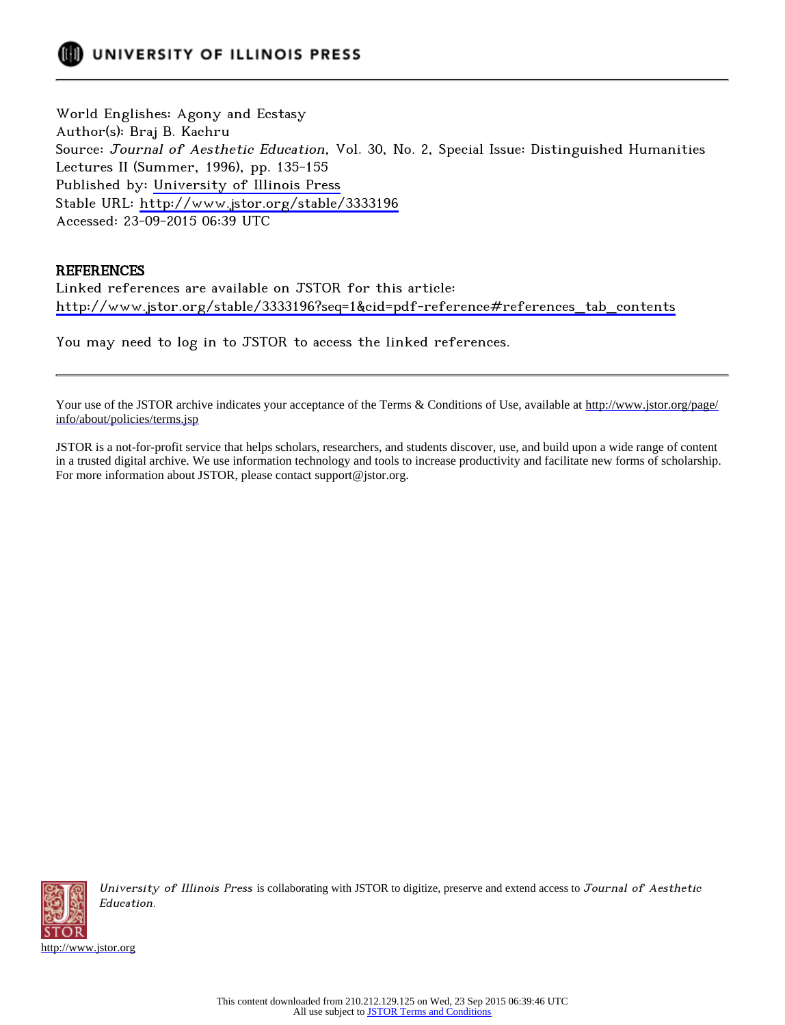

World Englishes: Agony and Ecstasy Author(s): Braj B. Kachru Source: Journal of Aesthetic Education, Vol. 30, No. 2, Special Issue: Distinguished Humanities Lectures II (Summer, 1996), pp. 135-155 Published by: [University of Illinois Press](http://www.jstor.org/action/showPublisher?publisherCode=illinois) Stable URL: <http://www.jstor.org/stable/3333196> Accessed: 23-09-2015 06:39 UTC

## **REFERENCES**

Linked references are available on JSTOR for this article: [http://www.jstor.org/stable/3333196?seq=1&cid=pdf-reference#references\\_tab\\_contents](http://www.jstor.org/stable/3333196?seq=1&cid=pdf-reference#references_tab_contents)

You may need to log in to JSTOR to access the linked references.

Your use of the JSTOR archive indicates your acceptance of the Terms & Conditions of Use, available at [http://www.jstor.org/page/](http://www.jstor.org/page/info/about/policies/terms.jsp) [info/about/policies/terms.jsp](http://www.jstor.org/page/info/about/policies/terms.jsp)

JSTOR is a not-for-profit service that helps scholars, researchers, and students discover, use, and build upon a wide range of content in a trusted digital archive. We use information technology and tools to increase productivity and facilitate new forms of scholarship. For more information about JSTOR, please contact support@jstor.org.



University of Illinois Press is collaborating with JSTOR to digitize, preserve and extend access to Journal of Aesthetic Education.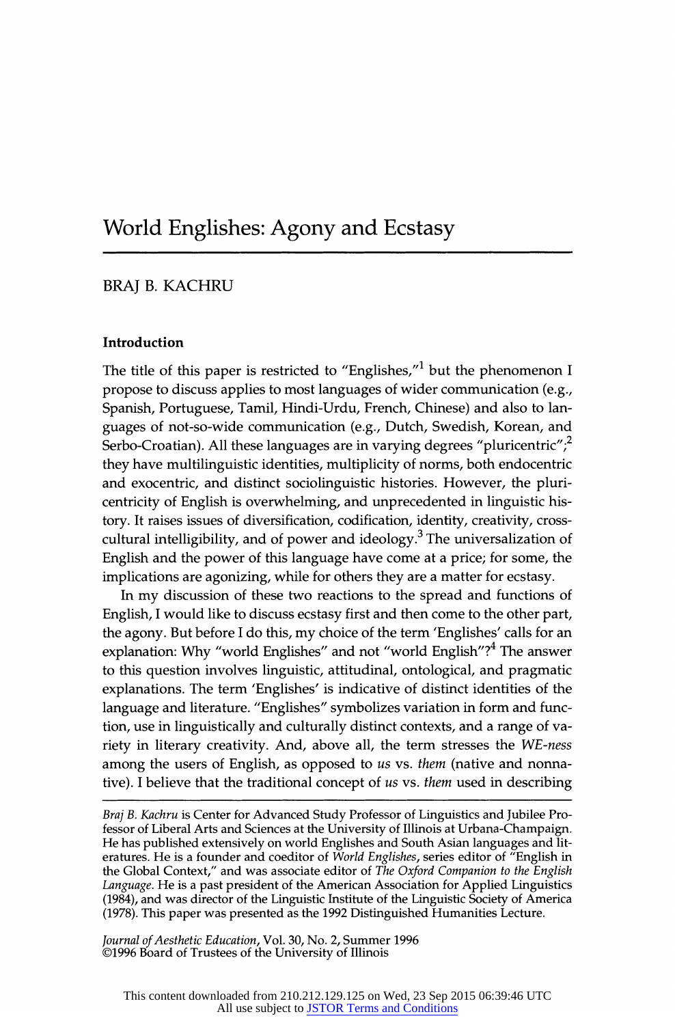# **World Englishes: Agony and Ecstasy**

## **BRAJ B. KACHRU**

## **Introduction**

**The title of this paper is restricted to "Englishes,"1 but the phenomenon I propose to discuss applies to most languages of wider communication (e.g., Spanish, Portuguese, Tamil, Hindi-Urdu, French, Chinese) and also to languages of not-so-wide communication (e.g., Dutch, Swedish, Korean, and Serbo-Croatian). All these languages are in varying degrees "pluricentric";2 they have multilinguistic identities, multiplicity of norms, both endocentric and exocentric, and distinct sociolinguistic histories. However, the pluricentricity of English is overwhelming, and unprecedented in linguistic history. It raises issues of diversification, codification, identity, creativity, crosscultural intelligibility, and of power and ideology.3 The universalization of English and the power of this language have come at a price; for some, the implications are agonizing, while for others they are a matter for ecstasy.** 

**In my discussion of these two reactions to the spread and functions of English, I would like to discuss ecstasy first and then come to the other part, the agony. But before I do this, my choice of the term 'Englishes' calls for an**  explanation: Why "world Englishes" and not "world English"?<sup>4</sup> The answer **to this question involves linguistic, attitudinal, ontological, and pragmatic explanations. The term 'Englishes' is indicative of distinct identities of the language and literature. "Englishes" symbolizes variation in form and function, use in linguistically and culturally distinct contexts, and a range of variety in literary creativity. And, above all, the term stresses the WE-ness among the users of English, as opposed to us vs. them (native and nonnative). I believe that the traditional concept of us vs. them used in describing** 

**Braj B. Kachru is Center for Advanced Study Professor of Linguistics and Jubilee Professor of Liberal Arts and Sciences at the University of Illinois at Urbana-Champaign. He has published extensively on world Englishes and South Asian languages and literatures. He is a founder and coeditor of World Englishes, series editor of "English in the Global Context," and was associate editor of The Oxford Companion to the English Language. He is a past president of the American Association for Applied Linguistics (1984), and was director of the Linguistic Institute of the Linguistic Society of America (1978). This paper was presented as the 1992 Distinguished Humanities Lecture.** 

**Journal of Aesthetic Education, Vol. 30, No. 2, Summer 1996 ?1996 Board of Trustees of the University of Illinois**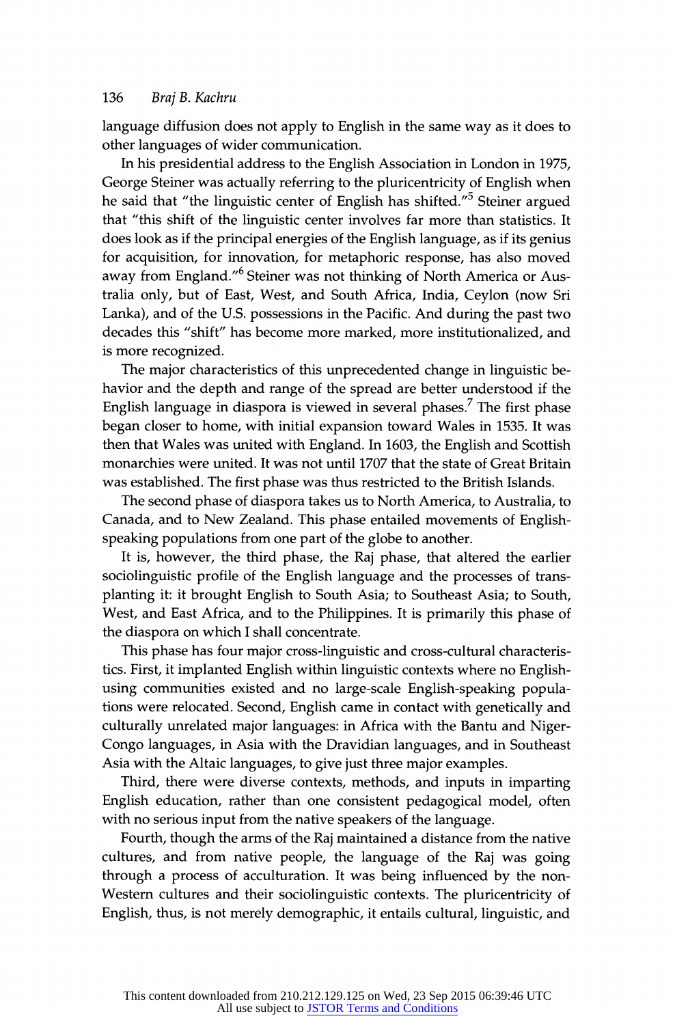**language diffusion does not apply to English in the same way as it does to other languages of wider communication.** 

**In his presidential address to the English Association in London in 1975, George Steiner was actually referring to the pluricentricity of English when he said that "the linguistic center of English has shifted."5 Steiner argued that "this shift of the linguistic center involves far more than statistics. It does look as if the principal energies of the English language, as if its genius for acquisition, for innovation, for metaphoric response, has also moved away from England."6 Steiner was not thinking of North America or Australia only, but of East, West, and South Africa, India, Ceylon (now Sri Lanka), and of the U.S. possessions in the Pacific. And during the past two decades this "shift" has become more marked, more institutionalized, and is more recognized.** 

**The major characteristics of this unprecedented change in linguistic behavior and the depth and range of the spread are better understood if the English language in diaspora is viewed in several phases.7 The first phase began closer to home, with initial expansion toward Wales in 1535. It was then that Wales was united with England. In 1603, the English and Scottish monarchies were united. It was not until 1707 that the state of Great Britain was established. The first phase was thus restricted to the British Islands.** 

**The second phase of diaspora takes us to North America, to Australia, to Canada, and to New Zealand. This phase entailed movements of Englishspeaking populations from one part of the globe to another.** 

**It is, however, the third phase, the Raj phase, that altered the earlier sociolinguistic profile of the English language and the processes of transplanting it: it brought English to South Asia; to Southeast Asia; to South, West, and East Africa, and to the Philippines. It is primarily this phase of the diaspora on which I shall concentrate.** 

**This phase has four major cross-linguistic and cross-cultural characteristics. First, it implanted English within linguistic contexts where no Englishusing communities existed and no large-scale English-speaking populations were relocated. Second, English came in contact with genetically and culturally unrelated major languages: in Africa with the Bantu and Niger-Congo languages, in Asia with the Dravidian languages, and in Southeast Asia with the Altaic languages, to give just three major examples.** 

**Third, there were diverse contexts, methods, and inputs in imparting English education, rather than one consistent pedagogical model, often with no serious input from the native speakers of the language.** 

**Fourth, though the arms of the Raj maintained a distance from the native cultures, and from native people, the language of the Raj was going through a process of acculturation. It was being influenced by the non-Western cultures and their sociolinguistic contexts. The pluricentricity of English, thus, is not merely demographic, it entails cultural, linguistic, and**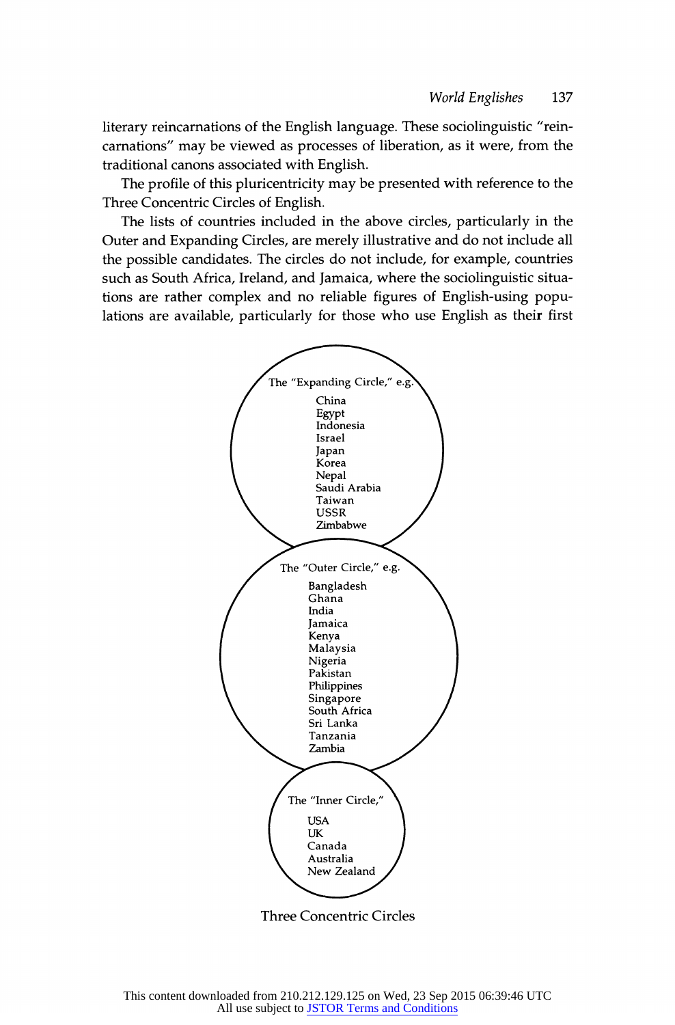**literary reincarnations of the English language. These sociolinguistic "reincarnations" may be viewed as processes of liberation, as it were, from the traditional canons associated with English.** 

**The profile of this pluricentricity may be presented with reference to the Three Concentric Circles of English.** 

**The lists of countries included in the above circles, particularly in the Outer and Expanding Circles, are merely illustrative and do not include all the possible candidates. The circles do not include, for example, countries such as South Africa, Ireland, and Jamaica, where the sociolinguistic situations are rather complex and no reliable figures of English-using populations are available, particularly for those who use English as their first** 



**Three Concentric Circles**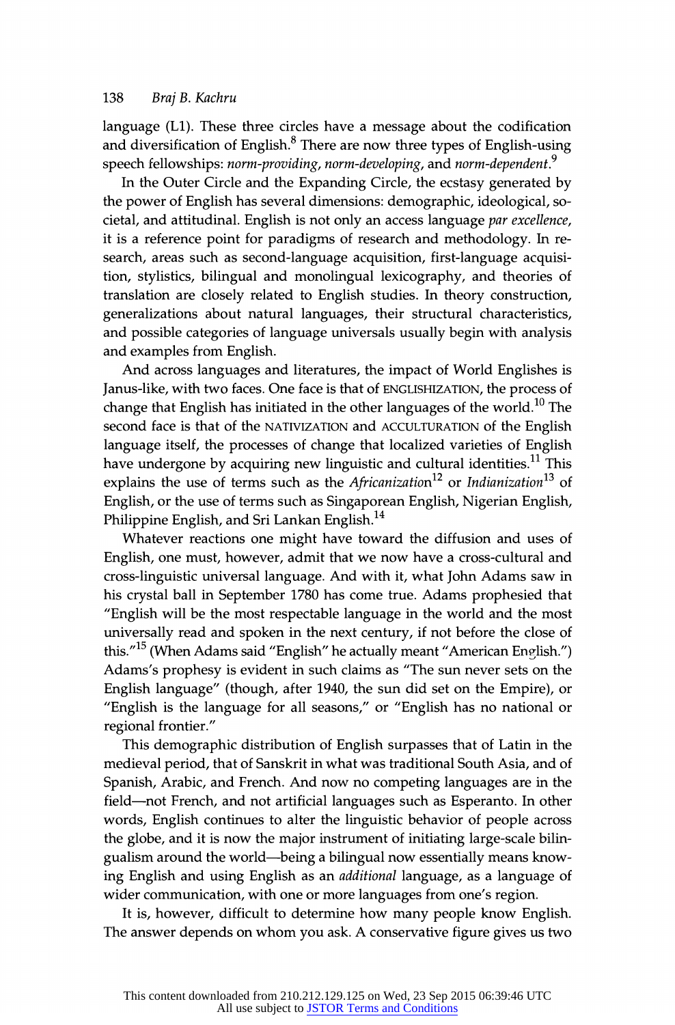**language (L1). These three circles have a message about the codification and diversification of English.8 There are now three types of English-using speech fellowships: norm-providing, norm-developing, and norm-dependent.9** 

**In the Outer Circle and the Expanding Circle, the ecstasy generated by the power of English has several dimensions: demographic, ideological, societal, and attitudinal. English is not only an access language par excellence, it is a reference point for paradigms of research and methodology. In research, areas such as second-language acquisition, first-language acquisition, stylistics, bilingual and monolingual lexicography, and theories of translation are closely related to English studies. In theory construction, generalizations about natural languages, their structural characteristics, and possible categories of language universals usually begin with analysis and examples from English.** 

**And across languages and literatures, the impact of World Englishes is Janus-like, with two faces. One face is that of ENGLISHIZATION, the process of**  change that English has initiated in the other languages of the world.<sup>10</sup> The **second face is that of the NATIVIZATION and ACCULTURATION of the English language itself, the processes of change that localized varieties of English**  have undergone by acquiring new linguistic and cultural identities.<sup>11</sup> This explains the use of terms such as the Africanization<sup>12</sup> or Indianization<sup>13</sup> of **English, or the use of terms such as Singaporean English, Nigerian English, Philippine English, and Sri Lankan English.14** 

**Whatever reactions one might have toward the diffusion and uses of English, one must, however, admit that we now have a cross-cultural and cross-linguistic universal language. And with it, what John Adams saw in his crystal ball in September 1780 has come true. Adams prophesied that "English will be the most respectable language in the world and the most universally read and spoken in the next century, if not before the close of this."15 (When Adams said "English" he actually meant "American English.") Adams's prophesy is evident in such claims as "The sun never sets on the English language" (though, after 1940, the sun did set on the Empire), or "English is the language for all seasons," or "English has no national or regional frontier."** 

**This demographic distribution of English surpasses that of Latin in the medieval period, that of Sanskrit in what was traditional South Asia, and of Spanish, Arabic, and French. And now no competing languages are in the field-not French, and not artificial languages such as Esperanto. In other words, English continues to alter the linguistic behavior of people across the globe, and it is now the major instrument of initiating large-scale bilingualism around the world-being a bilingual now essentially means knowing English and using English as an additional language, as a language of wider communication, with one or more languages from one's region.** 

**It is, however, difficult to determine how many people know English. The answer depends on whom you ask. A conservative figure gives us two**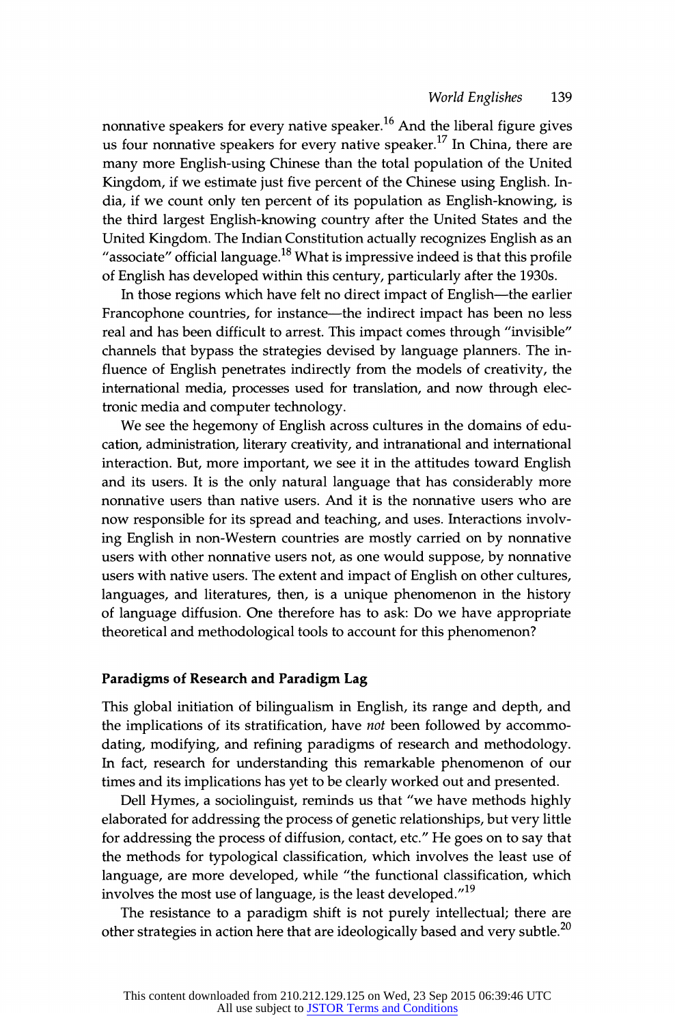**nonnative speakers for every native speaker.16 And the liberal figure gives us four nonnative speakers for every native speaker.17 In China, there are many more English-using Chinese than the total population of the United Kingdom, if we estimate just five percent of the Chinese using English. India, if we count only ten percent of its population as English-knowing, is the third largest English-knowing country after the United States and the United Kingdom. The Indian Constitution actually recognizes English as an "associate" official language.18 What is impressive indeed is that this profile of English has developed within this century, particularly after the 1930s.** 

In those regions which have felt no direct impact of English-the earlier Francophone countries, for instance—the indirect impact has been no less **real and has been difficult to arrest. This impact comes through "invisible" channels that bypass the strategies devised by language planners. The influence of English penetrates indirectly from the models of creativity, the international media, processes used for translation, and now through electronic media and computer technology.** 

**We see the hegemony of English across cultures in the domains of education, administration, literary creativity, and intranational and international interaction. But, more important, we see it in the attitudes toward English and its users. It is the only natural language that has considerably more nonnative users than native users. And it is the nonnative users who are now responsible for its spread and teaching, and uses. Interactions involving English in non-Western countries are mostly carried on by nonnative users with other nonnative users not, as one would suppose, by nonnative users with native users. The extent and impact of English on other cultures, languages, and literatures, then, is a unique phenomenon in the history of language diffusion. One therefore has to ask: Do we have appropriate theoretical and methodological tools to account for this phenomenon?** 

#### **Paradigms of Research and Paradigm Lag**

**This global initiation of bilingualism in English, its range and depth, and the implications of its stratification, have not been followed by accommodating, modifying, and refining paradigms of research and methodology. In fact, research for understanding this remarkable phenomenon of our times and its implications has yet to be clearly worked out and presented.** 

**Dell Hymes, a sociolinguist, reminds us that "we have methods highly elaborated for addressing the process of genetic relationships, but very little for addressing the process of diffusion, contact, etc." He goes on to say that the methods for typological classification, which involves the least use of language, are more developed, while "the functional classification, which involves the most use of language, is the least developed."19** 

**The resistance to a paradigm shift is not purely intellectual; there are other strategies in action here that are ideologically based and very subtle.20**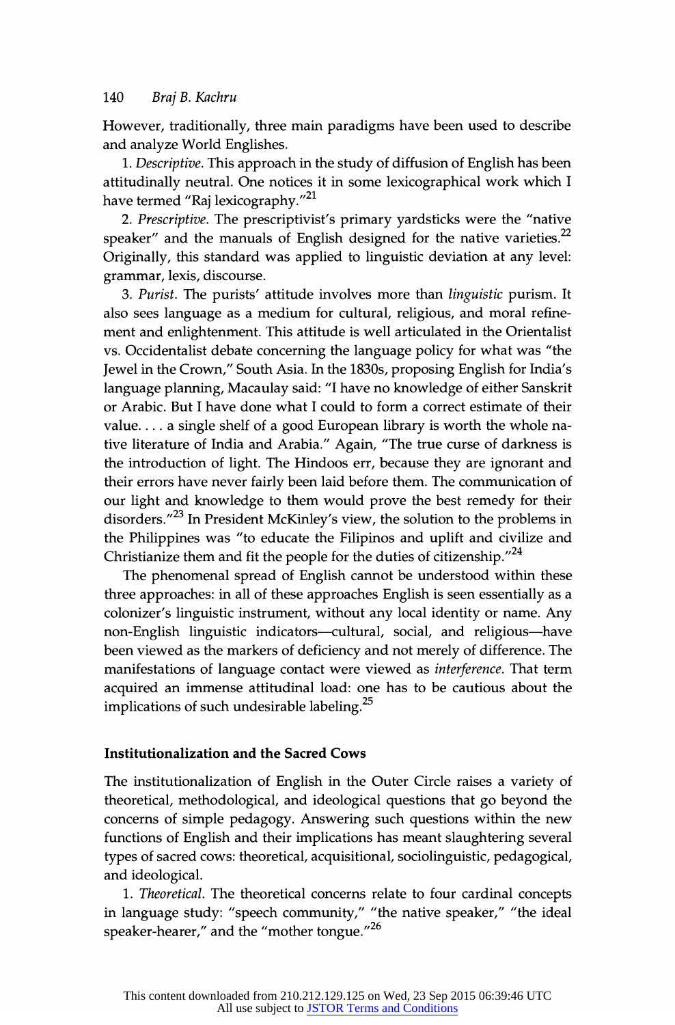**However, traditionally, three main paradigms have been used to describe and analyze World Englishes.** 

**1. Descriptive. This approach in the study of diffusion of English has been attitudinally neutral. One notices it in some lexicographical work which I have termed "Raj lexicography."21** 

**2. Prescriptive. The prescriptivist's primary yardsticks were the "native**  speaker" and the manuals of English designed for the native varieties.<sup>22</sup> **Originally, this standard was applied to linguistic deviation at any level: grammar, lexis, discourse.** 

**3. Purist. The purists' attitude involves more than linguistic purism. It also sees language as a medium for cultural, religious, and moral refinement and enlightenment. This attitude is well articulated in the Orientalist vs. Occidentalist debate concerning the language policy for what was "the Jewel in the Crown," South Asia. In the 1830s, proposing English for India's language planning, Macaulay said: "I have no knowledge of either Sanskrit or Arabic. But I have done what I could to form a correct estimate of their value.... a single shelf of a good European library is worth the whole native literature of India and Arabia." Again, "The true curse of darkness is the introduction of light. The Hindoos err, because they are ignorant and their errors have never fairly been laid before them. The communication of our light and knowledge to them would prove the best remedy for their disorders."23 In President McKinley's view, the solution to the problems in the Philippines was "to educate the Filipinos and uplift and civilize and Christianize them and fit the people for the duties of citizenship."24** 

**The phenomenal spread of English cannot be understood within these three approaches: in all of these approaches English is seen essentially as a colonizer's linguistic instrument, without any local identity or name. Any non-English linguistic indicators-cultural, social, and religious-have been viewed as the markers of deficiency and not merely of difference. The manifestations of language contact were viewed as interference. That term acquired an immense attitudinal load: one has to be cautious about the implications of such undesirable labeling.25** 

#### **Institutionalization and the Sacred Cows**

**The institutionalization of English in the Outer Circle raises a variety of theoretical, methodological, and ideological questions that go beyond the concerns of simple pedagogy. Answering such questions within the new functions of English and their implications has meant slaughtering several types of sacred cows: theoretical, acquisitional, sociolinguistic, pedagogical, and ideological.** 

**1. Theoretical. The theoretical concerns relate to four cardinal concepts in language study: "speech community," "the native speaker," "the ideal speaker-hearer," and the "mother tongue."26**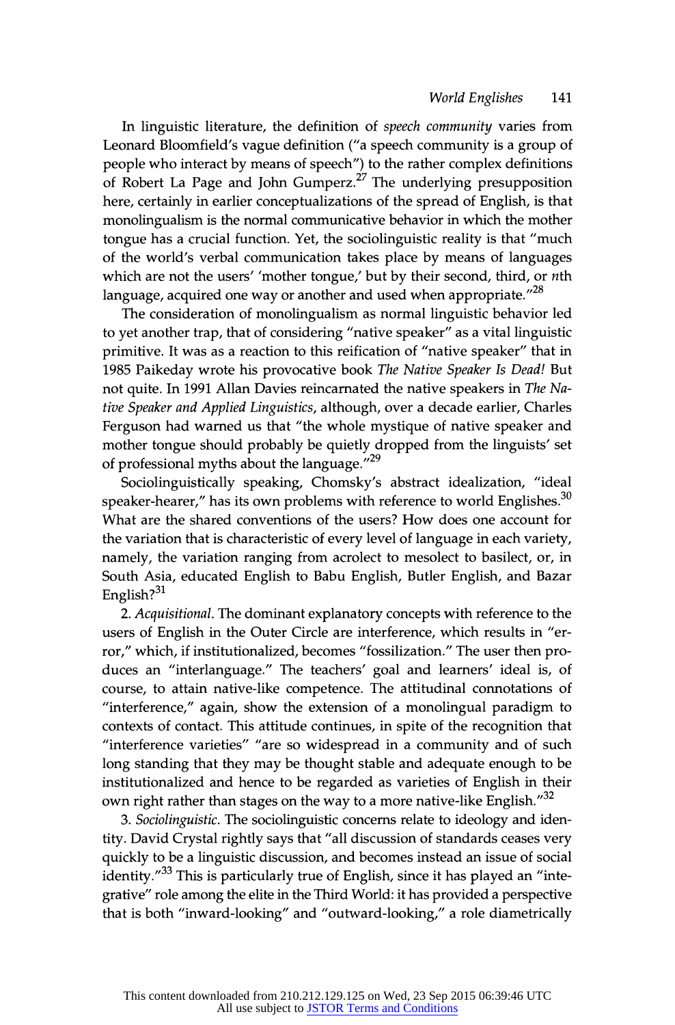**In linguistic literature, the definition of speech community varies from Leonard Bloomfield's vague definition ("a speech community is a group of people who interact by means of speech") to the rather complex definitions of Robert La Page and John Gumperz.27 The underlying presupposition here, certainly in earlier conceptualizations of the spread of English, is that monolingualism is the normal communicative behavior in which the mother tongue has a crucial function. Yet, the sociolinguistic reality is that "much of the world's verbal communication takes place by means of languages which are not the users' 'mother tongue,' but by their second, third, or nth language, acquired one way or another and used when appropriate."28** 

**The consideration of monolingualism as normal linguistic behavior led to yet another trap, that of considering "native speaker" as a vital linguistic primitive. It was as a reaction to this reification of "native speaker" that in 1985 Paikeday wrote his provocative book The Native Speaker Is Dead! But not quite. In 1991 Allan Davies reincarnated the native speakers in The Native Speaker and Applied Linguistics, although, over a decade earlier, Charles Ferguson had warned us that "the whole mystique of native speaker and mother tongue should probably be quietly dropped from the linguists' set of professional myths about the language."29** 

**Sociolinguistically speaking, Chomsky's abstract idealization, "ideal speaker-hearer," has its own problems with reference to world Englishes.30 What are the shared conventions of the users? How does one account for the variation that is characteristic of every level of language in each variety, namely, the variation ranging from acrolect to mesolect to basilect, or, in South Asia, educated English to Babu English, Butler English, and Bazar English?31** 

**2. Acquisitional. The dominant explanatory concepts with reference to the users of English in the Outer Circle are interference, which results in "error," which, if institutionalized, becomes "fossilization." The user then produces an "interlanguage." The teachers' goal and learners' ideal is, of course, to attain native-like competence. The attitudinal connotations of "interference," again, show the extension of a monolingual paradigm to contexts of contact. This attitude continues, in spite of the recognition that "interference varieties" "are so widespread in a community and of such long standing that they may be thought stable and adequate enough to be institutionalized and hence to be regarded as varieties of English in their own right rather than stages on the way to a more native-like English."32** 

**3. Sociolinguistic. The sociolinguistic concerns relate to ideology and identity. David Crystal rightly says that "all discussion of standards ceases very quickly to be a linguistic discussion, and becomes instead an issue of social**  identity.<sup>"33</sup> This is particularly true of English, since it has played an "inte**grative" role among the elite in the Third World: it has provided a perspective that is both "inward-looking" and "outward-looking," a role diametrically**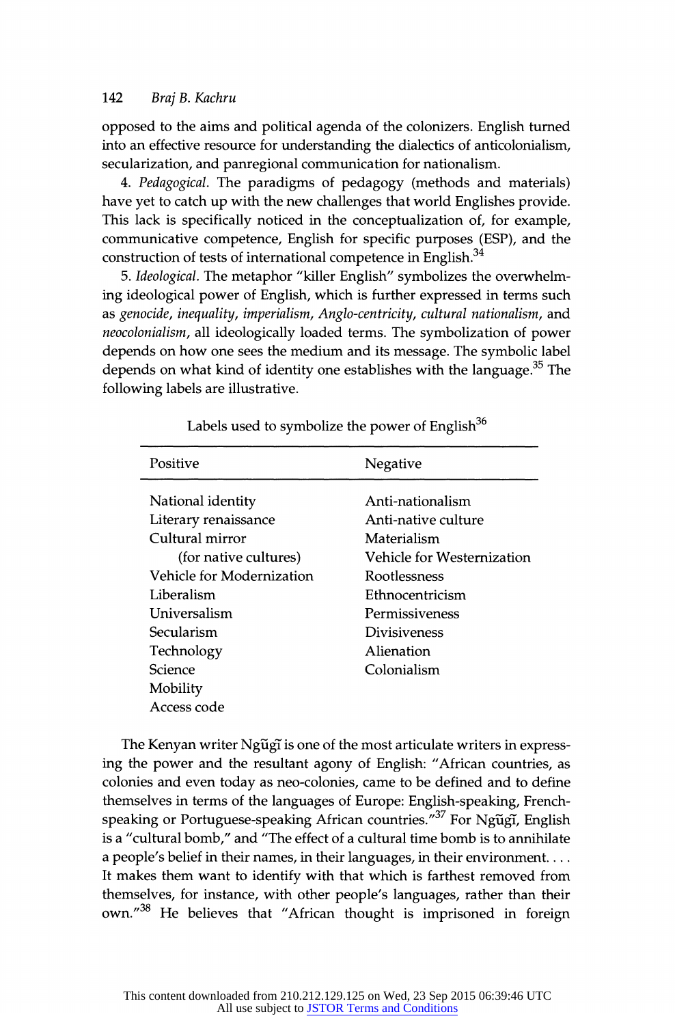**opposed to the aims and political agenda of the colonizers. English turned into an effective resource for understanding the dialectics of anticolonialism, secularization, and panregional communication for nationalism.** 

**4. Pedagogical. The paradigms of pedagogy (methods and materials) have yet to catch up with the new challenges that world Englishes provide. This lack is specifically noticed in the conceptualization of, for example, communicative competence, English for specific purposes (ESP), and the construction of tests of international competence in English.34** 

**5. Ideological. The metaphor "killer English" symbolizes the overwhelming ideological power of English, which is further expressed in terms such as genocide, inequality, imperialism, Anglo-centricity, cultural nationalism, and neocolonialism, all ideologically loaded terms. The symbolization of power depends on how one sees the medium and its message. The symbolic label depends on what kind of identity one establishes with the language.35 The following labels are illustrative.** 

| Positive                  | Negative                   |
|---------------------------|----------------------------|
| National identity         | Anti-nationalism           |
| Literary renaissance      | Anti-native culture        |
| Cultural mirror           | Materialism                |
| (for native cultures)     | Vehicle for Westernization |
| Vehicle for Modernization | Rootlessness               |
| Liberalism                | Ethnocentricism            |
| Universalism              | Permissiveness             |
| Secularism                | Divisiveness               |
| Technology                | Alienation                 |
| Science                   | Colonialism                |
| Mobility                  |                            |
| Access code               |                            |

Labels used to symbolize the power of English<sup>36</sup>

The Kenyan writer Ngugi is one of the most articulate writers in express**ing the power and the resultant agony of English: "African countries, as colonies and even today as neo-colonies, came to be defined and to define themselves in terms of the languages of Europe: English-speaking, French**speaking or Portuguese-speaking African countries.<sup>"37</sup> For Ngugi, English **is a "cultural bomb," and "The effect of a cultural time bomb is to annihilate a people's belief in their names, in their languages, in their environment.... It makes them want to identify with that which is farthest removed from themselves, for instance, with other people's languages, rather than their own."38 He believes that "African thought is imprisoned in foreign**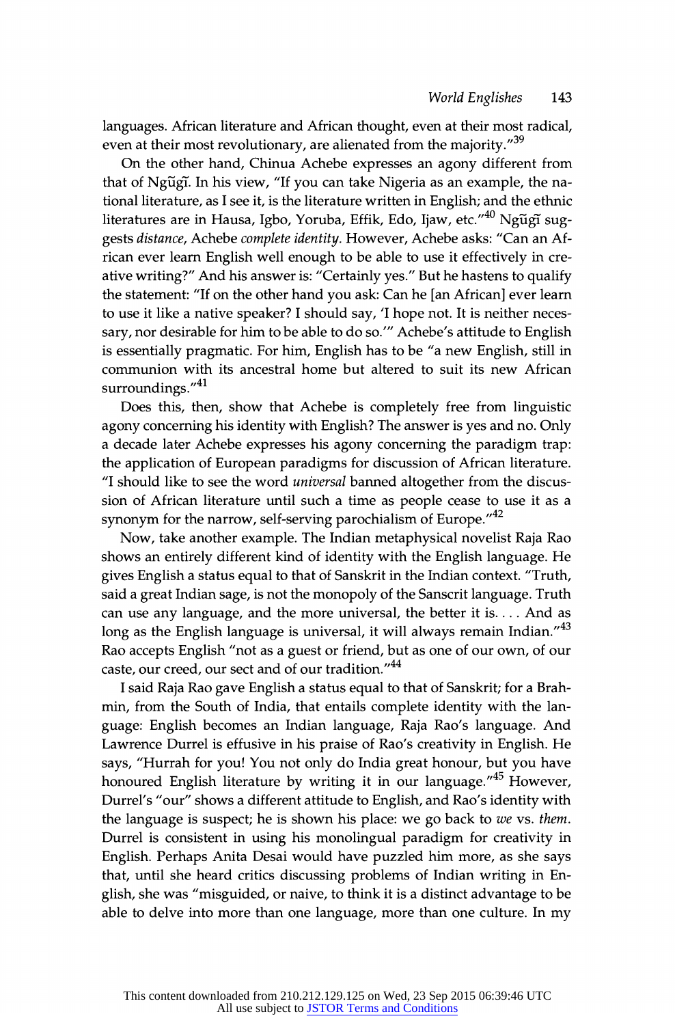**languages. African literature and African thought, even at their most radical, even at their most revolutionary, are alienated from the majority."39** 

**On the other hand, Chinua Achebe expresses an agony different from that of NgigT. In his view, "If you can take Nigeria as an example, the national literature, as I see it, is the literature written in English; and the ethnic**  literatures are in Hausa, Igbo, Yoruba, Effik, Edo, Ijaw, etc.<sup>"40</sup> Ngũgĩ sug**gests distance, Achebe complete identity. However, Achebe asks: "Can an African ever learn English well enough to be able to use it effectively in creative writing?" And his answer is: "Certainly yes." But he hastens to qualify the statement: "If on the other hand you ask: Can he [an African] ever learn to use it like a native speaker? I should say, 'I hope not. It is neither necessary, nor desirable for him to be able to do so."' Achebe's attitude to English is essentially pragmatic. For him, English has to be "a new English, still in communion with its ancestral home but altered to suit its new African surroundings."41** 

**Does this, then, show that Achebe is completely free from linguistic agony concerning his identity with English? The answer is yes and no. Only a decade later Achebe expresses his agony concerning the paradigm trap: the application of European paradigms for discussion of African literature. "I should like to see the word universal banned altogether from the discussion of African literature until such a time as people cease to use it as a synonym for the narrow, self-serving parochialism of Europe."42** 

**Now, take another example. The Indian metaphysical novelist Raja Rao shows an entirely different kind of identity with the English language. He gives English a status equal to that of Sanskrit in the Indian context. "Truth, said a great Indian sage, is not the monopoly of the Sanscrit language. Truth can use any language, and the more universal, the better it is.... And as long as the English language is universal, it will always remain Indian."43 Rao accepts English "not as a guest or friend, but as one of our own, of our caste, our creed, our sect and of our tradition."44** 

**I said Raja Rao gave English a status equal to that of Sanskrit; for a Brahmin, from the South of India, that entails complete identity with the language: English becomes an Indian language, Raja Rao's language. And Lawrence Durrel is effusive in his praise of Rao's creativity in English. He says, "Hurrah for you! You not only do India great honour, but you have honoured English literature by writing it in our language."45 However, Durrel's "our" shows a different attitude to English, and Rao's identity with the language is suspect; he is shown his place: we go back to we vs. them. Durrel is consistent in using his monolingual paradigm for creativity in English. Perhaps Anita Desai would have puzzled him more, as she says that, until she heard critics discussing problems of Indian writing in English, she was "misguided, or naive, to think it is a distinct advantage to be able to delve into more than one language, more than one culture. In my**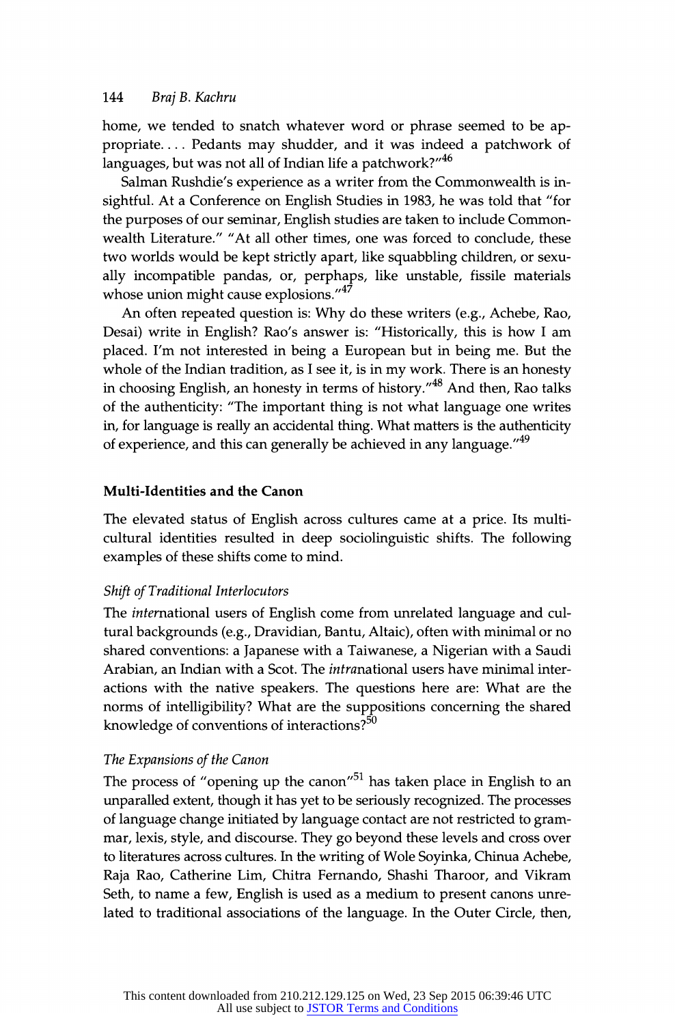**home, we tended to snatch whatever word or phrase seemed to be appropriate.... Pedants may shudder, and it was indeed a patchwork of languages, but was not all of Indian life a patchwork?"46** 

**Salman Rushdie's experience as a writer from the Commonwealth is insightful. At a Conference on English Studies in 1983, he was told that "for the purposes of our seminar, English studies are taken to include Commonwealth Literature." "At all other times, one was forced to conclude, these two worlds would be kept strictly apart, like squabbling children, or sexually incompatible pandas, or, perphaps, like unstable, fissile materials whose union might cause explosions."47** 

**An often repeated question is: Why do these writers (e.g., Achebe, Rao, Desai) write in English? Rao's answer is: "Historically, this is how I am placed. I'm not interested in being a European but in being me. But the whole of the Indian tradition, as I see it, is in my work. There is an honesty in choosing English, an honesty in terms of history."48 And then, Rao talks of the authenticity: "The important thing is not what language one writes in, for language is really an accidental thing. What matters is the authenticity of experience, and this can generally be achieved in any language."49** 

## **Multi-Identities and the Canon**

**The elevated status of English across cultures came at a price. Its multicultural identities resulted in deep sociolinguistic shifts. The following examples of these shifts come to mind.** 

## **Shift of Traditional Interlocutors**

**The international users of English come from unrelated language and cultural backgrounds (e.g., Dravidian, Bantu, Altaic), often with minimal or no shared conventions: a Japanese with a Taiwanese, a Nigerian with a Saudi Arabian, an Indian with a Scot. The intranational users have minimal interactions with the native speakers. The questions here are: What are the norms of intelligibility? What are the suppositions concerning the shared knowledge of conventions of interactions?50** 

## **The Expansions of the Canon**

**The process of "opening up the canon"51 has taken place in English to an unparalled extent, though it has yet to be seriously recognized. The processes of language change initiated by language contact are not restricted to grammar, lexis, style, and discourse. They go beyond these levels and cross over to literatures across cultures. In the writing of Wole Soyinka, Chinua Achebe, Raja Rao, Catherine Lim, Chitra Fernando, Shashi Tharoor, and Vikram Seth, to name a few, English is used as a medium to present canons unrelated to traditional associations of the language. In the Outer Circle, then,**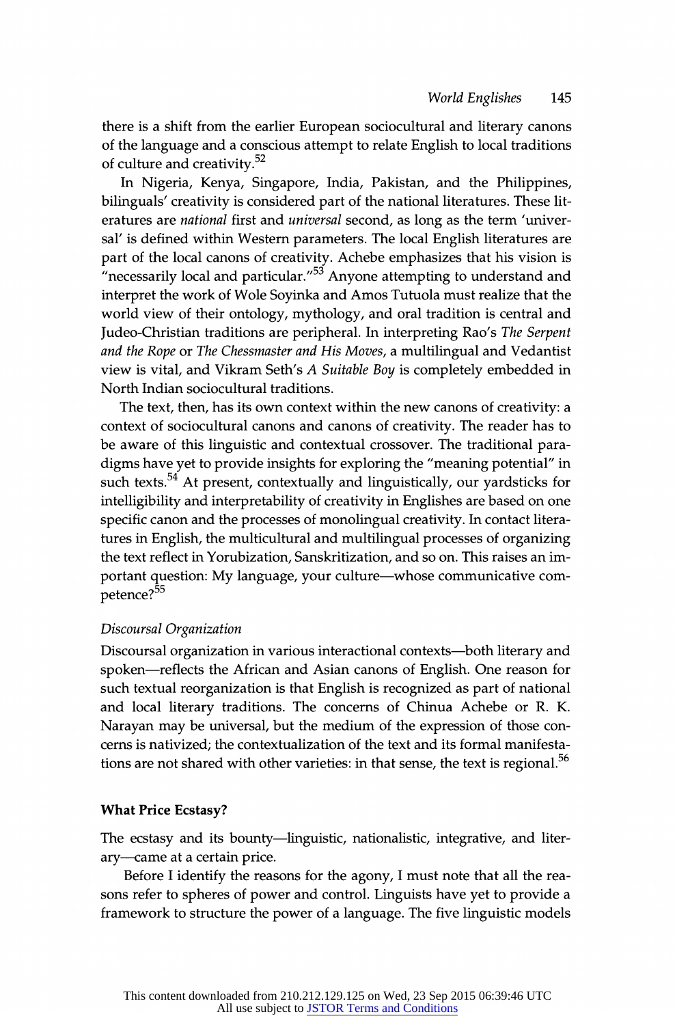**there is a shift from the earlier European sociocultural and literary canons of the language and a conscious attempt to relate English to local traditions of culture and creativity.52** 

**In Nigeria, Kenya, Singapore, India, Pakistan, and the Philippines, bilinguals' creativity is considered part of the national literatures. These literatures are national first and universal second, as long as the term 'universal' is defined within Western parameters. The local English literatures are part of the local canons of creativity. Achebe emphasizes that his vision is "necessarily local and particular."53 Anyone attempting to understand and interpret the work of Wole Soyinka and Amos Tutuola must realize that the world view of their ontology, mythology, and oral tradition is central and Judeo-Christian traditions are peripheral. In interpreting Rao's The Serpent and the Rope or The Chessmaster and His Moves, a multilingual and Vedantist view is vital, and Vikram Seth's A Suitable Boy is completely embedded in North Indian sociocultural traditions.** 

**The text, then, has its own context within the new canons of creativity: a context of sociocultural canons and canons of creativity. The reader has to be aware of this linguistic and contextual crossover. The traditional paradigms have yet to provide insights for exploring the "meaning potential" in such texts.54 At present, contextually and linguistically, our yardsticks for intelligibility and interpretability of creativity in Englishes are based on one specific canon and the processes of monolingual creativity. In contact literatures in English, the multicultural and multilingual processes of organizing the text reflect in Yorubization, Sanskritization, and so on. This raises an important question: My language, your culture-whose communicative competence?55** 

## **Discoursal Organization**

**Discoursal organization in various interactional contexts-both literary and**  spoken-reflects the African and Asian canons of English. One reason for **such textual reorganization is that English is recognized as part of national and local literary traditions. The concerns of Chinua Achebe or R. K. Narayan may be universal, but the medium of the expression of those concerns is nativized; the contextualization of the text and its formal manifestations are not shared with other varieties: in that sense, the text is regional.56** 

## **What Price Ecstasy?**

The ecstasy and its bounty—linguistic, nationalistic, integrative, and liter**ary-came at a certain price.** 

**Before I identify the reasons for the agony, I must note that all the reasons refer to spheres of power and control. Linguists have yet to provide a framework to structure the power of a language. The five linguistic models**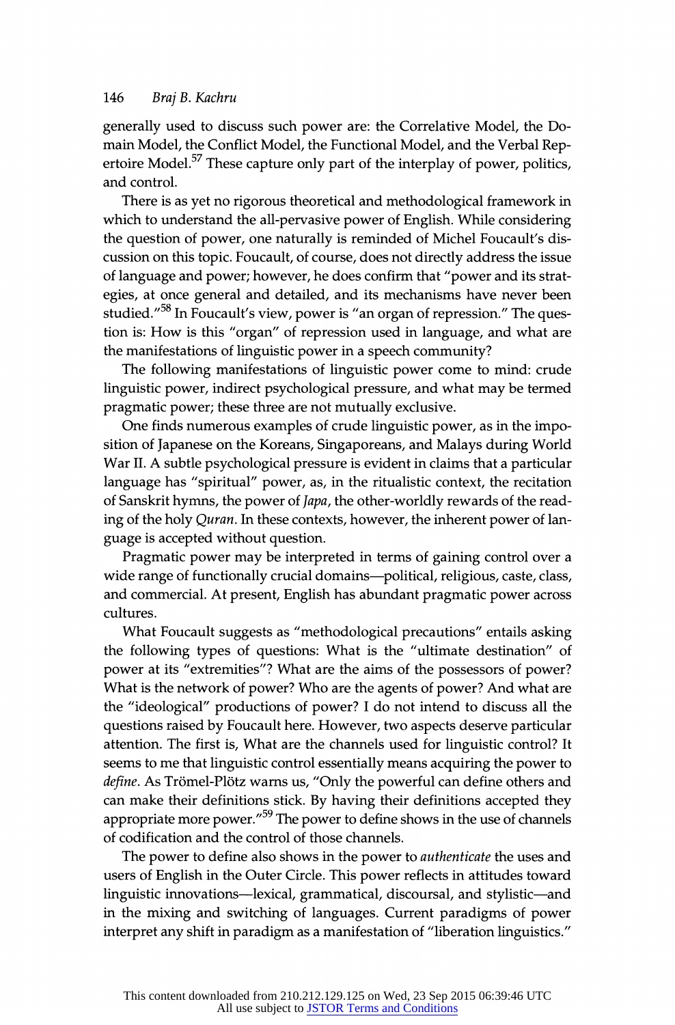**generally used to discuss such power are: the Correlative Model, the Domain Model, the Conflict Model, the Functional Model, and the Verbal Repertoire Model.57 These capture only part of the interplay of power, politics, and control.** 

**There is as yet no rigorous theoretical and methodological framework in which to understand the all-pervasive power of English. While considering the question of power, one naturally is reminded of Michel Foucault's discussion on this topic. Foucault, of course, does not directly address the issue of language and power; however, he does confirm that "power and its strategies, at once general and detailed, and its mechanisms have never been studied."58 In Foucault's view, power is "an organ of repression." The question is: How is this "organ" of repression used in language, and what are the manifestations of linguistic power in a speech community?** 

**The following manifestations of linguistic power come to mind: crude linguistic power, indirect psychological pressure, and what may be termed pragmatic power; these three are not mutually exclusive.** 

**One finds numerous examples of crude linguistic power, as in the imposition of Japanese on the Koreans, Singaporeans, and Malays during World War II. A subtle psychological pressure is evident in claims that a particular language has "spiritual" power, as, in the ritualistic context, the recitation of Sanskrit hymns, the power of Japa, the other-worldly rewards of the reading of the holy Quran. In these contexts, however, the inherent power of language is accepted without question.** 

**Pragmatic power may be interpreted in terms of gaining control over a wide range of functionally crucial domains-political, religious, caste, class, and commercial. At present, English has abundant pragmatic power across cultures.** 

**What Foucault suggests as "methodological precautions" entails asking the following types of questions: What is the "ultimate destination" of power at its "extremities"? What are the aims of the possessors of power? What is the network of power? Who are the agents of power? And what are the "ideological" productions of power? I do not intend to discuss all the questions raised by Foucault here. However, two aspects deserve particular attention. The first is, What are the channels used for linguistic control? It seems to me that linguistic control essentially means acquiring the power to**  define. As Trömel-Plötz warns us, "Only the powerful can define others and **can make their definitions stick. By having their definitions accepted they appropriate more power."59 The power to define shows in the use of channels of codification and the control of those channels.** 

**The power to define also shows in the power to authenticate the uses and users of English in the Outer Circle. This power reflects in attitudes toward linguistic innovations-lexical, grammatical, discoursal, and stylistic-and in the mixing and switching of languages. Current paradigms of power interpret any shift in paradigm as a manifestation of "liberation linguistics."**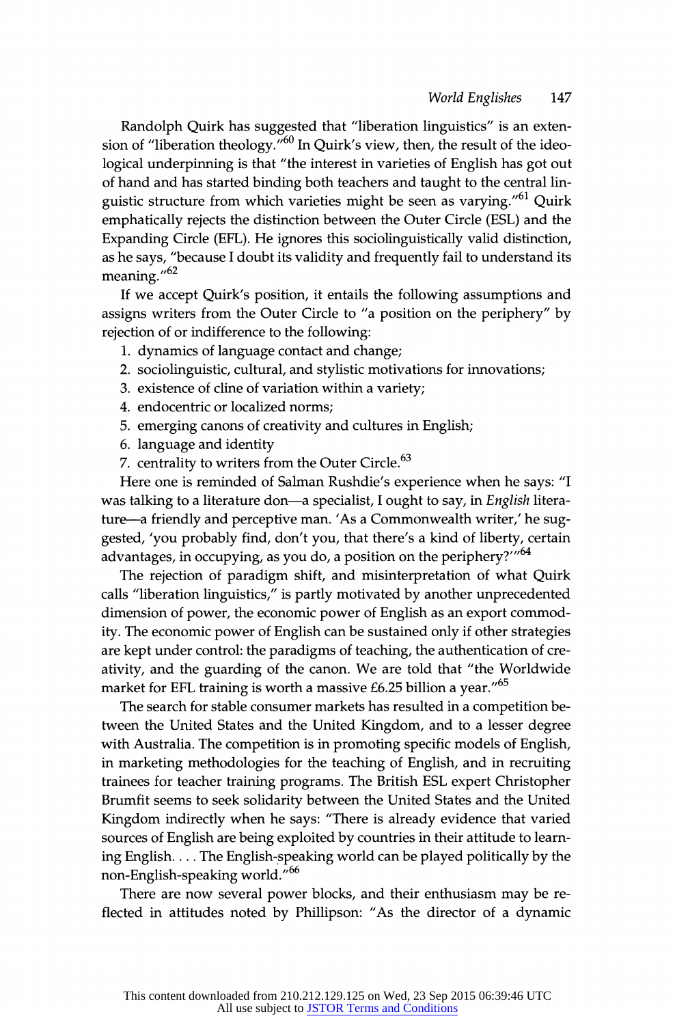**Randolph Quirk has suggested that "liberation linguistics" is an exten**sion of "liberation theology.<sup>"60</sup> In Quirk's view, then, the result of the ideo**logical underpinning is that "the interest in varieties of English has got out of hand and has started binding both teachers and taught to the central linguistic structure from which varieties might be seen as varying."61 Quirk emphatically rejects the distinction between the Outer Circle (ESL) and the Expanding Circle (EFL). He ignores this sociolinguistically valid distinction, as he says, "because I doubt its validity and frequently fail to understand its meaning."62** 

**If we accept Quirk's position, it entails the following assumptions and assigns writers from the Outer Circle to "a position on the periphery" by rejection of or indifference to the following:** 

- **1. dynamics of language contact and change;**
- **2. sociolinguistic, cultural, and stylistic motivations for innovations;**
- **3. existence of dine of variation within a variety;**
- **4. endocentric or localized norms;**
- **5. emerging canons of creativity and cultures in English;**
- **6. language and identity**
- **7. centrality to writers from the Outer Circle.63**

**Here one is reminded of Salman Rushdie's experience when he says: "I**  was talking to a literature don—a specialist, I ought to say, in *English* litera**ture-a friendly and perceptive man. 'As a Commonwealth writer,' he suggested, 'you probably find, don't you, that there's a kind of liberty, certain advantages, in occupying, as you do, a position on the periphery?"'64** 

**The rejection of paradigm shift, and misinterpretation of what Quirk calls "liberation linguistics," is partly motivated by another unprecedented dimension of power, the economic power of English as an export commodity. The economic power of English can be sustained only if other strategies are kept under control: the paradigms of teaching, the authentication of creativity, and the guarding of the canon. We are told that "the Worldwide**  market for EFL training is worth a massive £6.25 billion a year."<sup>65</sup>

**The search for stable consumer markets has resulted in a competition between the United States and the United Kingdom, and to a lesser degree with Australia. The competition is in promoting specific models of English, in marketing methodologies for the teaching of English, and in recruiting trainees for teacher training programs. The British ESL expert Christopher Brumfit seems to seek solidarity between the United States and the United Kingdom indirectly when he says: "There is already evidence that varied sources of English are being exploited by countries in their attitude to learning English .... The English-speaking world can be played politically by the non-English-speaking world."66** 

**There are now several power blocks, and their enthusiasm may be reflected in attitudes noted by Phillipson: "As the director of a dynamic**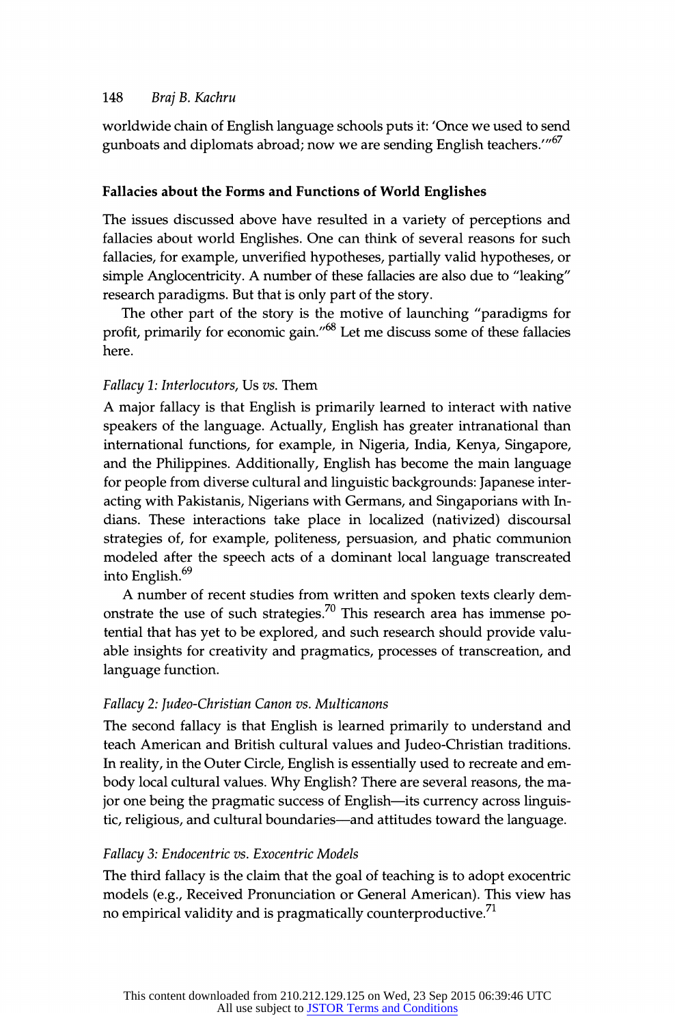**worldwide chain of English language schools puts it: 'Once we used to send gunboats and diplomats abroad; now we are sending English teachers."'67** 

## **Fallacies about the Forms and Functions of World Englishes**

**The issues discussed above have resulted in a variety of perceptions and fallacies about world Englishes. One can think of several reasons for such fallacies, for example, unverified hypotheses, partially valid hypotheses, or simple Anglocentricity. A number of these fallacies are also due to "leaking" research paradigms. But that is only part of the story.** 

**The other part of the story is the motive of launching "paradigms for profit, primarily for economic gain."68 Let me discuss some of these fallacies here.** 

## **Fallacy 1: Interlocutors, Us vs. Them**

**A major fallacy is that English is primarily learned to interact with native speakers of the language. Actually, English has greater intranational than international functions, for example, in Nigeria, India, Kenya, Singapore, and the Philippines. Additionally, English has become the main language for people from diverse cultural and linguistic backgrounds: Japanese interacting with Pakistanis, Nigerians with Germans, and Singaporians with Indians. These interactions take place in localized (nativized) discoursal strategies of, for example, politeness, persuasion, and phatic communion modeled after the speech acts of a dominant local language transcreated into English.69** 

**A number of recent studies from written and spoken texts clearly demonstrate the use of such strategies.70 This research area has immense potential that has yet to be explored, and such research should provide valuable insights for creativity and pragmatics, processes of transcreation, and language function.** 

## **Fallacy 2: Judeo-Christian Canon vs. Multicanons**

**The second fallacy is that English is learned primarily to understand and teach American and British cultural values and Judeo-Christian traditions. In reality, in the Outer Circle, English is essentially used to recreate and embody local cultural values. Why English? There are several reasons, the major one being the pragmatic success of English-its currency across linguistic, religious, and cultural boundaries-and attitudes toward the language.** 

## **Fallacy 3: Endocentric vs. Exocentric Models**

**The third fallacy is the claim that the goal of teaching is to adopt exocentric models (e.g., Received Pronunciation or General American). This view has no empirical validity and is pragmatically counterproductive.71**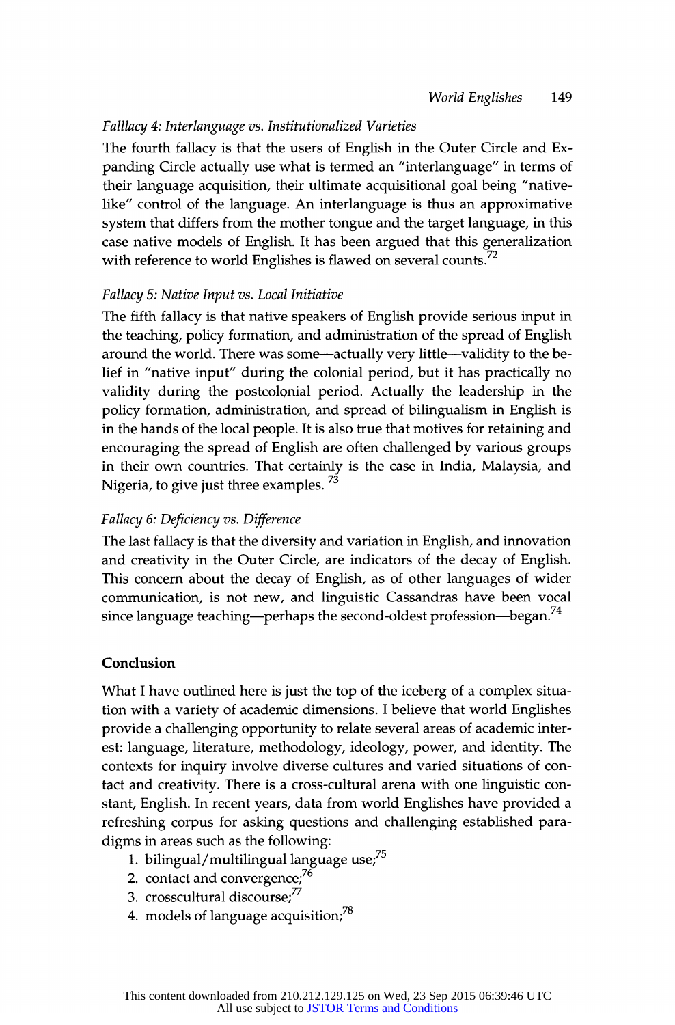## **Falllacy 4: Interlanguage vs. Institutionalized Varieties**

**The fourth fallacy is that the users of English in the Outer Circle and Expanding Circle actually use what is termed an "interlanguage" in terms of their language acquisition, their ultimate acquisitional goal being "nativelike" control of the language. An interlanguage is thus an approximative system that differs from the mother tongue and the target language, in this case native models of English. It has been argued that this generalization with reference to world Englishes is flawed on several counts.72** 

## **Fallacy 5: Native Input vs. Local Initiative**

**The fifth fallacy is that native speakers of English provide serious input in the teaching, policy formation, and administration of the spread of English**  around the world. There was some-actually very little-validity to the be**lief in "native input" during the colonial period, but it has practically no validity during the postcolonial period. Actually the leadership in the policy formation, administration, and spread of bilingualism in English is in the hands of the local people. It is also true that motives for retaining and encouraging the spread of English are often challenged by various groups in their own countries. That certainly is the case in India, Malaysia, and Nigeria, to give just three examples. <sup>73</sup>**

## **Fallacy 6: Deficiency vs. Difference**

**The last fallacy is that the diversity and variation in English, and innovation and creativity in the Outer Circle, are indicators of the decay of English. This concern about the decay of English, as of other languages of wider communication, is not new, and linguistic Cassandras have been vocal**  since language teaching—perhaps the second-oldest profession—began.<sup>74</sup>

#### **Conclusion**

**What I have outlined here is just the top of the iceberg of a complex situation with a variety of academic dimensions. I believe that world Englishes provide a challenging opportunity to relate several areas of academic interest: language, literature, methodology, ideology, power, and identity. The contexts for inquiry involve diverse cultures and varied situations of contact and creativity. There is a cross-cultural arena with one linguistic constant, English. In recent years, data from world Englishes have provided a refreshing corpus for asking questions and challenging established paradigms in areas such as the following:** 

- **1. bilingual/multilingual language use;75**
- **2. contact and convergence;76**
- **3. crosscultural discourse;77**
- **4. models of language acquisition;78**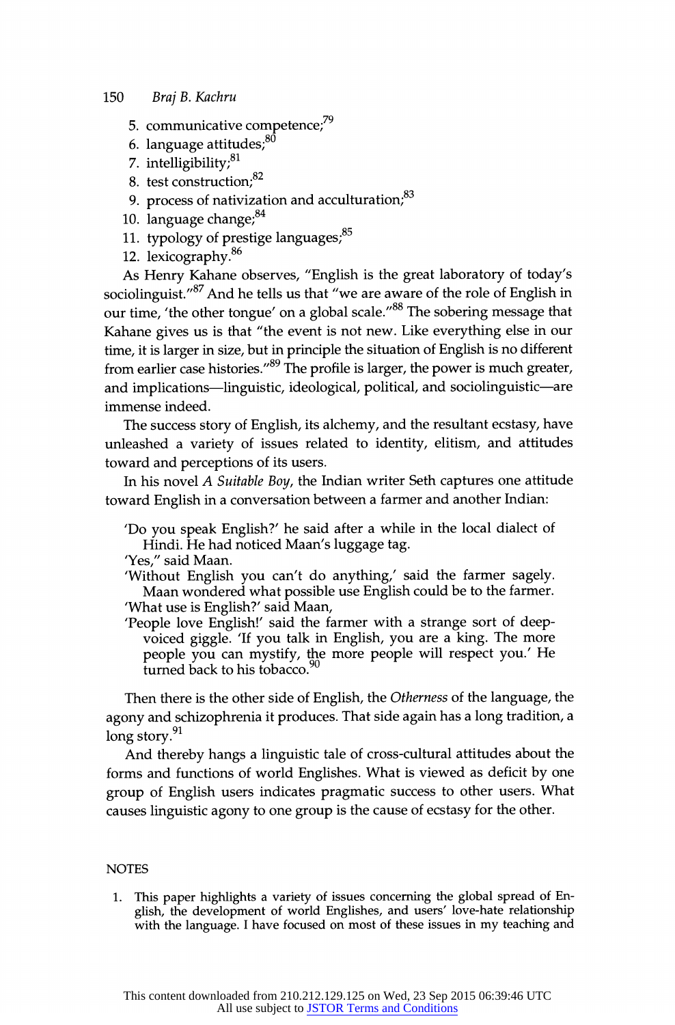- **5. communicative competence;79**
- **6. language attitudes;80**
- **7. intelligibility;81**
- **8. test construction;82**
- **9. process of nativization and acculturation;83**
- **10. language change;84**
- **11. typology of prestige languages;85**
- **12. lexicography.86**

**As Henry Kahane observes, "English is the great laboratory of today's sociolinguist."87 And he tells us that "we are aware of the role of English in our time, 'the other tongue' on a global scale."88 The sobering message that Kahane gives us is that "the event is not new. Like everything else in our time, it is larger in size, but in principle the situation of English is no different from earlier case histories."89 The profile is larger, the power is much greater, and implications-linguistic, ideological, political, and sociolinguistic-are immense indeed.** 

**The success story of English, its alchemy, and the resultant ecstasy, have unleashed a variety of issues related to identity, elitism, and attitudes toward and perceptions of its users.** 

**In his novel A Suitable Boy, the Indian writer Seth captures one attitude toward English in a conversation between a farmer and another Indian:** 

**'Do you speak English?' he said after a while in the local dialect of Hindi. He had noticed Maan's luggage tag.** 

**'Yes," said Maan.** 

**'Without English you can't do anything,' said the farmer sagely. Maan wondered what possible use English could be to the farmer. 'What use is English?' said Maan,** 

**'People love English!' said the farmer with a strange sort of deepvoiced giggle. 'If you talk in English, you are a king. The more people you can mystify, the more people will respect you.' He turned back to his tobacco.90** 

**Then there is the other side of English, the Otherness of the language, the agony and schizophrenia it produces. That side again has a long tradition, a long story.91** 

**And thereby hangs a linguistic tale of cross-cultural attitudes about the forms and functions of world Englishes. What is viewed as deficit by one group of English users indicates pragmatic success to other users. What causes linguistic agony to one group is the cause of ecstasy for the other.** 

#### **NOTES**

**1. This paper highlights a variety of issues concerning the global spread of English, the development of world Englishes, and users' love-hate relationship with the language. I have focused on most of these issues in my teaching and**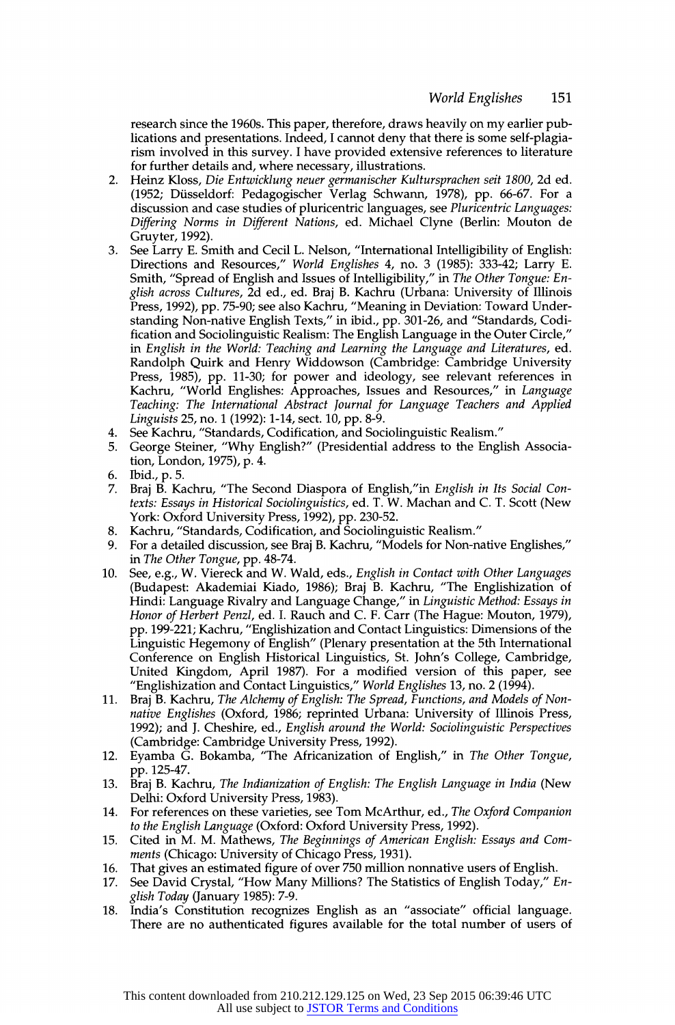**research since the 1960s. This paper, therefore, draws heavily on my earlier publications and presentations. Indeed, I cannot deny that there is some self-plagiarism involved in this survey. I have provided extensive references to literature for further details and, where necessary, illustrations.** 

- **2. Heinz Kloss, Die Entwicklung neuer germanischer Kultursprachen seit 1800, 2d ed. (1952; Diisseldorf: Pedagogischer Verlag Schwann, 1978), pp. 66-67. For a discussion and case studies of pluricentric languages, see Pluricentric Languages: Differing Norms in Different Nations, ed. Michael Clyne (Berlin: Mouton de Gruyter, 1992).**
- **3. See Larry E. Smith and Cecil L. Nelson, "Interational Intelligibility of English: Directions and Resources," World Englishes 4, no. 3 (1985): 333-42; Larry E. Smith, "Spread of English and Issues of Intelligibility," in The Other Tongue: English across Cultures, 2d ed., ed. Braj B. Kachru (Urbana: University of Illinois Press, 1992), pp. 75-90; see also Kachru, "Meaning in Deviation: Toward Understanding Non-native English Texts," in ibid., pp. 301-26, and "Standards, Codification and Sociolinguistic Realism: The English Language in the Outer Circle," in English in the World: Teaching and Learning the Language and Literatures, ed. Randolph Quirk and Henry Widdowson (Cambridge: Cambridge University Press, 1985), pp. 11-30; for power and ideology, see relevant references in Kachru, "World Englishes: Approaches, Issues and Resources," in Language Teaching: The International Abstract Journal for Language Teachers and Applied Linguists 25, no. 1 (1992): 1-14, sect. 10, pp. 8-9.**
- **4. See Kachru, "Standards, Codification, and Sociolinguistic Realism."**
- **5. George Steiner, "Why English?" (Presidential address to the English Association, London, 1975), p. 4.**
- **6. Ibid.,p.5.**
- **7. Braj B. Kachru, "The Second Diaspora of English,"in English in Its Social Contexts: Essays in Historical Sociolinguistics, ed. T. W. Machan and C. T. Scott (New York: Oxford University Press, 1992), pp. 230-52.**
- **8. Kachru, "Standards, Codification, and Sociolinguistic Realism."**
- **9. For a detailed discussion, see Braj B. Kachru, "Models for Non-native Englishes," in The Other Tongue, pp. 48-74.**
- **10. See, e.g., W. Viereck and W. Wald, eds., English in Contact with Other Languages (Budapest: Akademiai Kiado, 1986); Braj B. Kachru, "The Englishization of Hindi: Language Rivalry and Language Change," in Linguistic Method: Essays in Honor of Herbert Penzl, ed. I. Rauch and C. F. Carr (The Hague: Mouton, 1979), pp. 199-221; Kachru, "Englishization and Contact Linguistics: Dimensions of the Linguistic Hegemony of English" (Plenary presentation at the 5th International Conference on English Historical Linguistics, St. John's College, Cambridge, United Kingdom, April 1987). For a modified version of this paper, see "Englishization and Contact Linguistics," World Englishes 13, no. 2 (1994).**
- **11. Braj B. Kachru, The Alchemy of English: The Spread, Functions, and Models of Nonnative Englishes (Oxford, 1986; reprinted Urbana: University of Illinois Press, 1992); and J. Cheshire, ed., English around the World: Sociolinguistic Perspectives (Cambridge: Cambridge University Press, 1992).**
- **12. Eyamba G. Bokamba, "The Africanization of English," in The Other Tongue, pp. 125-47.**
- **13. Braj B. Kachru, The Indianization of English: The English Language in India (New Delhi: Oxford University Press, 1983).**
- **14. For references on these varieties, see Tom McArthur, ed., The Oxford Companion to the English Language (Oxford: Oxford University Press, 1992).**
- **15. Cited in M. M. Mathews, The Beginnings of American English: Essays and Comments (Chicago: University of Chicago Press, 1931).**
- **16. That gives an estimated figure of over 750 million nonnative users of English.**
- See David Crystal, "How Many Millions? The Statistics of English Today," En**glish Today (January 1985): 7-9.**
- **18. India's Constitution recognizes English as an "associate" official language. There are no authenticated figures available for the total number of users of**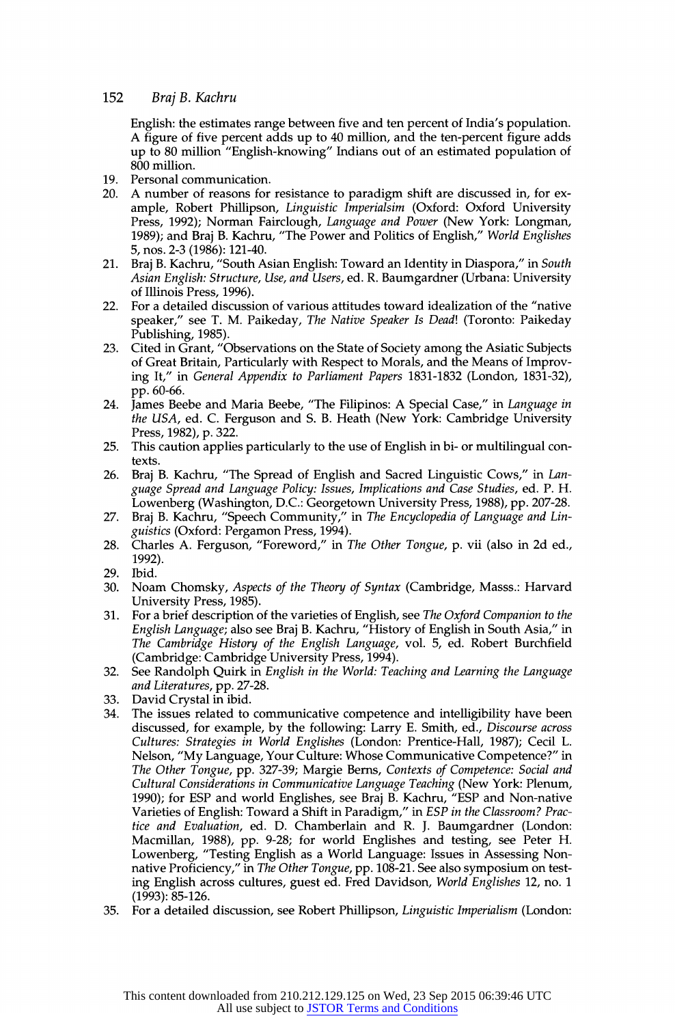**English: the estimates range between five and ten percent of India's population. A figure of five percent adds up to 40 million, and the ten-percent figure adds up to 80 million "English-knowing" Indians out of an estimated population of 800 million.** 

- **19. Personal communication.**
- **20. A number of reasons for resistance to paradigm shift are discussed in, for example, Robert Phillipson, Linguistic Imperialsim (Oxford: Oxford University Press, 1992); Norman Fairclough, Language and Power (New York: Longman, 1989); and Braj B. Kachru, "The Power and Politics of English," World Englishes 5, nos. 2-3 (1986): 121-40.**
- **21. Braj B. Kachru, "South Asian English: Toward an Identity in Diaspora," in South Asian English: Structure, Use, and Users, ed. R. Baumgardner (Urbana: University of Illinois Press, 1996).**
- **22. For a detailed discussion of various attitudes toward idealization of the "native speaker," see T. M. Paikeday, The Native Speaker Is Dead! (Toronto: Paikeday Publishing, 1985).**
- **23. Cited in Grant, "Observations on the State of Society among the Asiatic Subjects of Great Britain, Particularly with Respect to Morals, and the Means of Improving It," in General Appendix to Parliament Papers 1831-1832 (London, 1831-32), pp. 60-66.**
- **24. James Beebe and Maria Beebe, "The Filipinos: A Special Case," in Language in the USA, ed. C. Ferguson and S. B. Heath (New York: Cambridge University Press, 1982), p. 322.**
- **25. This caution applies particularly to the use of English in bi- or multilingual contexts.**
- **26. Braj B. Kachru, "The Spread of English and Sacred Linguistic Cows," in Language Spread and Language Policy: Issues, Implications and Case Studies, ed. P. H. Lowenberg (Washington, D.C.: Georgetown University Press, 1988), pp. 207-28.**
- **27. Braj B. Kachru, "Speech Community," in The Encyclopedia of Language and Linguistics (Oxford: Pergamon Press, 1994).**
- **28. Charles A. Ferguson, "Foreword," in The Other Tongue, p. vii (also in 2d ed., 1992).**
- **29. Ibid.**
- **30. Noam Chomsky, Aspects of the Theory of Syntax (Cambridge, Masss.: Harvard University Press, 1985).**
- **31. For a brief description of the varieties of English, see The Oxford Companion to the English Language; also see Braj B. Kachru, "History of English in South Asia," in The Cambridge History of the English Language, vol. 5, ed. Robert Burchfield (Cambridge: Cambridge University Press, 1994).**
- **32. See Randolph Quirk in English in the World: Teaching and Learning the Language and Literatures, pp. 27-28.**
- **33. David Crystal in ibid.**
- **34. The issues related to communicative competence and intelligibility have been discussed, for example, by the following: Larry E. Smith, ed., Discourse across Cultures: Strategies in World Englishes (London: Prentice-Hall, 1987); Cecil L. Nelson, "My Language, Your Culture: Whose Communicative Competence?" in The Other Tongue, pp. 327-39; Margie Bems, Contexts of Competence: Social and Cultural Considerations in Communicative Language Teaching (New York: Plenum, 1990); for ESP and world Englishes, see Braj B. Kachru, "ESP and Non-native Varieties of English: Toward a Shift in Paradigm," in ESP in the Classroom? Practice and Evaluation, ed. D. Chamberlain and R. J. Baumgardner (London: Macmillan, 1988), pp. 9-28; for world Englishes and testing, see Peter H. Lowenberg, "Testing English as a World Language: Issues in Assessing Nonnative Proficiency," in The Other Tongue, pp. 108-21. See also symposium on testing English across cultures, guest ed. Fred Davidson, World Englishes 12, no. 1 (1993): 85-126.**
- **35. For a detailed discussion, see Robert Phillipson, Linguistic Imperialism (London:**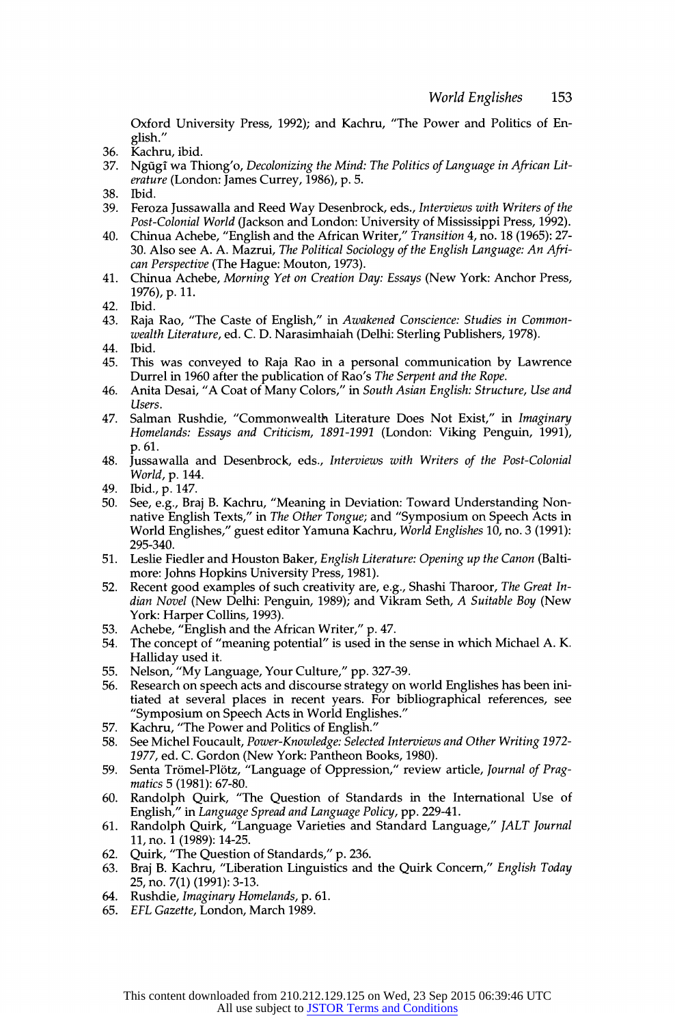**Oxford University Press, 1992); and Kachru, "The Power and Politics of English."** 

- **36. Kachru, ibid.**
- 37. Ngũgĩ wa Thiong'o, Decolonizing the Mind: The Politics of Language in African Lit**erature (London: James Currey, 1986), p. 5.**
- **38. Ibid.**
- **39. Feroza Jussawalla and Reed Way Desenbrock, eds., Interviews with Writers of the Post-Colonial World (Jackson and London: University of Mississippi Press, 1992).**
- **40. Chinua Achebe, "English and the African Writer," Transition 4, no. 18 (1965): 27- 30. Also see A. A. Mazrui, The Political Sociology of the English Language: An African Perspective (The Hague: Mouton, 1973).**
- **41. Chinua Achebe, Morning Yet on Creation Day: Essays (New York: Anchor Press, 1976), p. 11.**
- **42. Ibid.**
- **43. Raja Rao, "The Caste of English," in Awakened Conscience: Studies in Commonwealth Literature, ed. C. D. Narasimhaiah (Delhi: Sterling Publishers, 1978).**
- **44. Ibid.**
- **45. This was conveyed to Raja Rao in a personal communication by Lawrence Durrel in 1960 after the publication of Rao's The Serpent and the Rope.**
- **46. Anita Desai, "A Coat of Many Colors," in South Asian English: Structure, Use and Users.**
- **47. Salman Rushdie, "Commonwealth Literature Does Not Exist," in Imaginary Homelands: Essays and Criticism, 1891-1991 (London: Viking Penguin, 1991), p. 61.**
- **48. Jussawalla and Desenbrock, eds., Interviews with Writers of the Post-Colonial World, p. 144.**
- **49. Ibid., p. 147.**
- **50. See, e.g., Braj B. Kachru, "Meaning in Deviation: Toward Understanding Nonnative English Texts," in The Other Tongue; and "Symposium on Speech Acts in World Englishes," guest editor Yamuna Kachru, World Englishes 10, no. 3 (1991): 295-340.**
- **51. Leslie Fiedler and Houston Baker, English Literature: Opening up the Canon (Baltimore: Johns Hopkins University Press, 1981).**
- **52. Recent good examples of such creativity are, e.g., Shashi Tharoor, The Great Indian Novel (New Delhi: Penguin, 1989); and Vikram Seth, A Suitable Boy (New York: Harper Collins, 1993).**
- **53. Achebe, "English and the African Writer," p. 47.**
- **54. The concept of "meaning potential" is used in the sense in which Michael A. K. Halliday used it.**
- **55. Nelson, "My Language, Your Culture," pp. 327-39.**
- **56. Research on speech acts and discourse strategy on world Englishes has been initiated at several places in recent years. For bibliographical references, see "Symposium on Speech Acts in World Englishes."**
- **57. Kachru, "The Power and Politics of English."**
- **58. See Michel Foucault, Power-Knowledge: Selected Interviews and Other Writing 1972- 1977, ed. C. Gordon (New York: Pantheon Books, 1980).**
- 59. Senta Trömel-Plötz, "Language of Oppression," review article, Journal of Prag**matics 5 (1981): 67-80.**
- **60. Randolph Quirk, "The Question of Standards in the International Use of English," in Language Spread and Language Policy, pp. 229-41.**
- **61. Randolph Quirk, "Language Varieties and Standard Language," JALT Journal 11, no. 1 (1989): 14-25.**
- **62. Quirk, "The Question of Standards," p. 236.**
- **63. Braj B. Kachru, "Liberation Linguistics and the Quirk Concern," English Today 25, no. 7(1) (1991): 3-13.**
- **64. Rushdie, Imaginary Homelands, p. 61.**
- **65. EFL Gazette, London, March 1989.**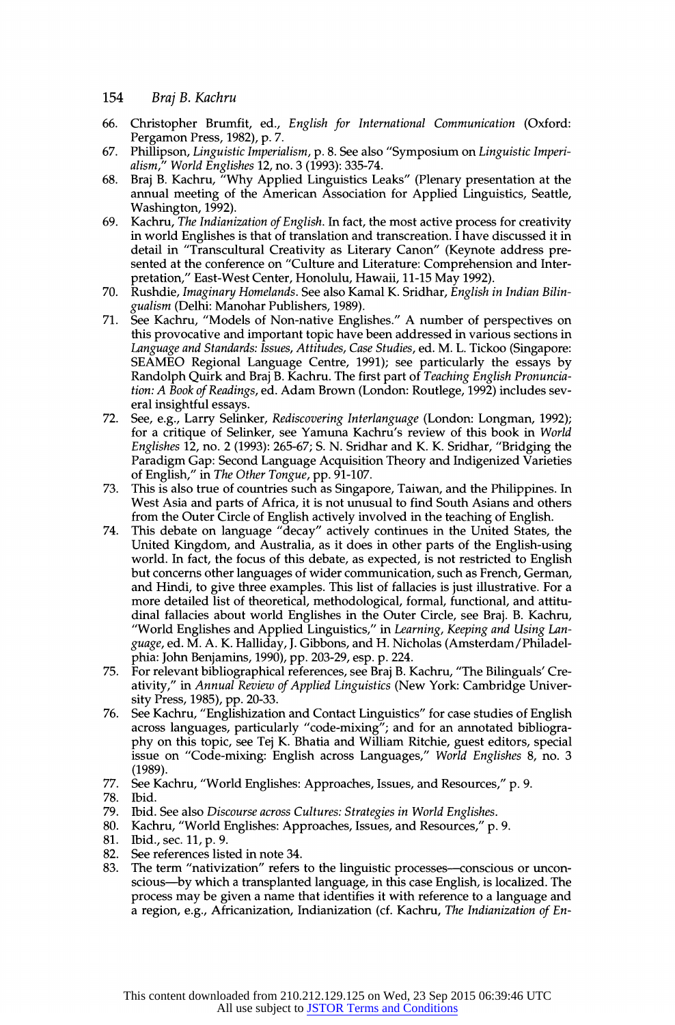- **66. Christopher Brumfit, ed., English for International Communication (Oxford: Pergamon Press, 1982), p. 7.**
- **67. Phillipson, Linguistic Imperialism, p. 8. See also "Symposium on Linguistic Imperialism," World Englishes 12, no. 3 (1993): 335-74.**
- **68. Braj B. Kachru, "Why Applied Linguistics Leaks" (Plenary presentation at the annual meeting of the American Association for Applied Linguistics, Seattle, Washington, 1992).**
- **69. Kachru, The Indianization of English. In fact, the most active process for creativity in world Englishes is that of translation and transcreation. I have discussed it in detail in "Transcultural Creativity as Literary Canon" (Keynote address presented at the conference on "Culture and Literature: Comprehension and Interpretation," East-West Center, Honolulu, Hawaii, 11-15 May 1992).**
- **70. Rushdie, Imaginary Homelands. See also Kamal K. Sridhar, English in Indian Bilingualism (Delhi: Manohar Publishers, 1989).**
- **71. See Kachru, "Models of Non-native Englishes." A number of perspectives on this provocative and important topic have been addressed in various sections in Language and Standards: Issues, Attitudes, Case Studies, ed. M. L. Tickoo (Singapore: SEAMEO Regional Language Centre, 1991); see particularly the essays by Randolph Quirk and Braj B. Kachru. The first part of Teaching English Pronunciation: A Book of Readings, ed. Adam Brown (London: Routlege, 1992) includes several insightful essays.**
- **72. See, e.g., Larry Selinker, Rediscovering Interlanguage (London: Longman, 1992); for a critique of Selinker, see Yamuna Kachru's review of this book in World Englishes 12, no. 2 (1993): 265-67; S. N. Sridhar and K. K. Sridhar, "Bridging the Paradigm Gap: Second Language Acquisition Theory and Indigenized Varieties of English," in The Other Tongue, pp. 91-107.**
- **73. This is also true of countries such as Singapore, Taiwan, and the Philippines. In West Asia and parts of Africa, it is not unusual to find South Asians and others from the Outer Circle of English actively involved in the teaching of English.**
- **74. This debate on language "decay" actively continues in the United States, the United Kingdom, and Australia, as it does in other parts of the English-using world. In fact, the focus of this debate, as expected, is not restricted to English but concerns other languages of wider communication, such as French, German, and Hindi, to give three examples. This list of fallacies is just illustrative. For a more detailed list of theoretical, methodological, formal, functional, and attitudinal fallacies about world Englishes in the Outer Circle, see Braj. B. Kachru, "World Englishes and Applied Linguistics," in Learning, Keeping and Using Language, ed. M. A. K. Halliday, J. Gibbons, and H. Nicholas (Amsterdam/Philadelphia: John Benjamins, 1990), pp. 203-29, esp. p. 224.**
- **75. For relevant bibliographical references, see Braj B. Kachru, "The Bilinguals' Creativity," in Annual Review of Applied Linguistics (New York: Cambridge University Press, 1985), pp. 20-33.**
- **76. See Kachru, "Englishization and Contact Linguistics" for case studies of English across languages, particularly "code-mixing"; and for an annotated bibliography on this topic, see Tej K. Bhatia and William Ritchie, guest editors, special issue on "Code-mixing: English across Languages," World Englishes 8, no. 3 (1989).**
- **77. See Kachru, "World Englishes: Approaches, Issues, and Resources," p. 9.**
- **78. Ibid.**
- **79. Ibid. See also Discourse across Cultures: Strategies in World Englishes.**
- **80. Kachru, "World Englishes: Approaches, Issues, and Resources," p. 9.**
- 
- **81. Ibid.,sec. 11,p.9. 82. See references listed in note 34.**
- **83. The term "nativization" refers to the linguistic processes-conscious or unconscious-by which a transplanted language, in this case English, is localized. The process may be given a name that identifies it with reference to a language and a region, e.g., Africanization, Indianization (cf. Kachru, The Indianization of En-**

**<sup>154</sup> Braj B. Kachru**